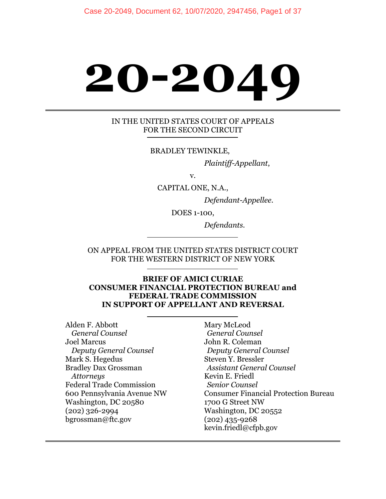# **20-2049**

#### IN THE UNITED STATES COURT OF APPEALS FOR THE SECOND CIRCUIT

BRADLEY TEWINKLE,

*Plaintiff-Appellant*,

v.

CAPITAL ONE, N.A.,

*Defendant-Appellee.* 

DOES 1-100,

 *Defendants.* 

ON APPEAL FROM THE UNITED STATES DISTRICT COURT FOR THE WESTERN DISTRICT OF NEW YORK

#### **BRIEF OF AMICI CURIAE CONSUMER FINANCIAL PROTECTION BUREAU and FEDERAL TRADE COMMISSION IN SUPPORT OF APPELLANT AND REVERSAL**

Alden F. Abbott *General Counsel* Joel Marcus *Deputy General Counsel* Mark S. Hegedus Bradley Dax Grossman *Attorneys* Federal Trade Commission 600 Pennsylvania Avenue NW Washington, DC 20580 (202) 326-2994 bgrossman@ftc.gov

Mary McLeod  *General Counsel*  John R. Coleman *Deputy General Counsel*  Steven Y. Bressler  *Assistant General Counsel*  Kevin E. Friedl  *Senior Counsel*  Consumer Financial Protection Bureau 1700 G Street NW Washington, DC 20552 (202) 435-9268 kevin.friedl@cfpb.gov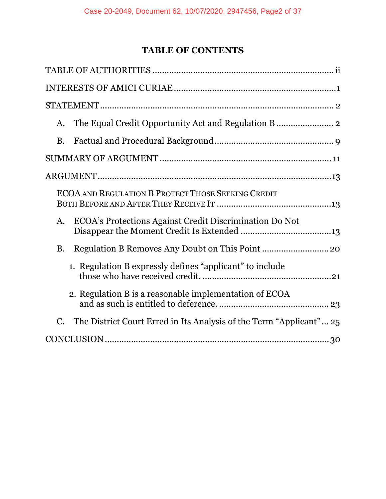# **TABLE OF CONTENTS**

| A.                                                                     |
|------------------------------------------------------------------------|
| <b>B.</b>                                                              |
|                                                                        |
|                                                                        |
| <b>ECOA AND REGULATION B PROTECT THOSE SEEKING CREDIT</b>              |
| ECOA's Protections Against Credit Discrimination Do Not<br>A.          |
| <b>B.</b>                                                              |
| 1. Regulation B expressly defines "applicant" to include               |
| 2. Regulation B is a reasonable implementation of ECOA                 |
| C. The District Court Erred in Its Analysis of the Term "Applicant" 25 |
|                                                                        |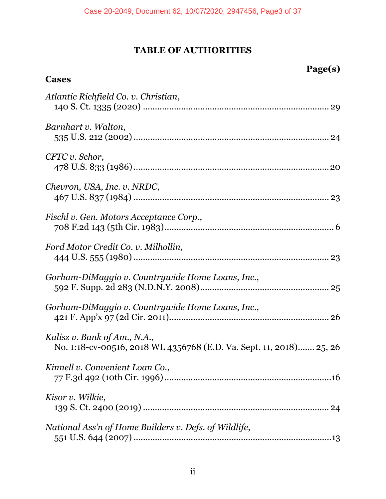# **TABLE OF AUTHORITIES**

**Cases** 

**Page(s)** 

| Atlantic Richfield Co. v. Christian,                                                                |
|-----------------------------------------------------------------------------------------------------|
| Barnhart v. Walton,                                                                                 |
| CFTC v. Schor,                                                                                      |
| Chevron, USA, Inc. v. NRDC,                                                                         |
| Fischl v. Gen. Motors Acceptance Corp.,                                                             |
| Ford Motor Credit Co. v. Milhollin,                                                                 |
| Gorham-DiMaggio v. Countrywide Home Loans, Inc.,                                                    |
| Gorham-DiMaggio v. Countrywide Home Loans, Inc.,                                                    |
| Kalisz v. Bank of Am., N.A.,<br>No. 1:18-cv-00516, 2018 WL 4356768 (E.D. Va. Sept. 11, 2018) 25, 26 |
| Kinnell v. Convenient Loan Co.,                                                                     |
| Kisor v. Wilkie,                                                                                    |
| National Ass'n of Home Builders v. Defs. of Wildlife,                                               |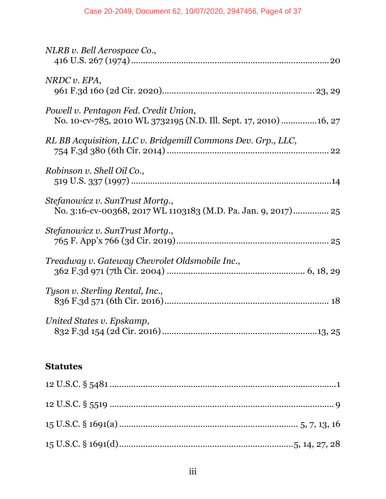| NLRB v. Bell Aerospace Co.,                                                                                |
|------------------------------------------------------------------------------------------------------------|
| NRDC v. EPA,                                                                                               |
| Powell v. Pentagon Fed. Credit Union,<br>No. 10-cv-785, 2010 WL 3732195 (N.D. Ill. Sept. 17, 2010)  16, 27 |
| RL BB Acquisition, LLC v. Bridgemill Commons Dev. Grp., LLC,                                               |
| Robinson v. Shell Oil Co.,                                                                                 |
| Stefanowicz v. SunTrust Mortg.,<br>No. 3:16-cv-00368, 2017 WL 1103183 (M.D. Pa. Jan. 9, 2017) 25           |
| Stefanowicz v. SunTrust Mortq.,                                                                            |
| Treadway v. Gateway Chevrolet Oldsmobile Inc.,                                                             |
| Tyson v. Sterling Rental, Inc.,                                                                            |
| United States v. Epskamp,                                                                                  |

# **Statutes**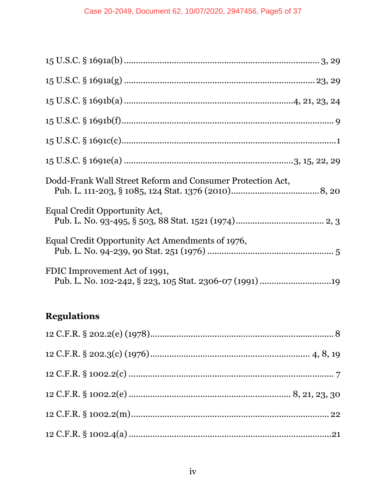| Dodd-Frank Wall Street Reform and Consumer Protection Act, |
|------------------------------------------------------------|
| Equal Credit Opportunity Act,                              |
| Equal Credit Opportunity Act Amendments of 1976,           |
| FDIC Improvement Act of 1991,                              |

# **Regulations**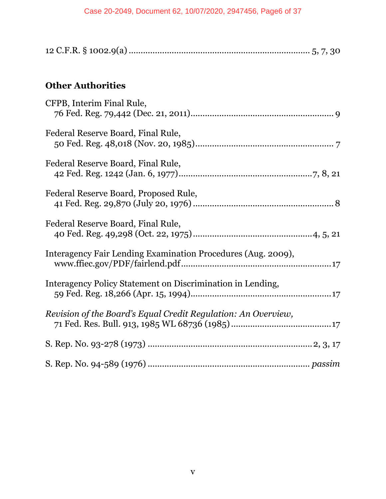# **Other Authorities**

| CFPB, Interim Final Rule,                                     |
|---------------------------------------------------------------|
| Federal Reserve Board, Final Rule,                            |
| Federal Reserve Board, Final Rule,                            |
| Federal Reserve Board, Proposed Rule,                         |
| Federal Reserve Board, Final Rule,                            |
| Interagency Fair Lending Examination Procedures (Aug. 2009),  |
| Interagency Policy Statement on Discrimination in Lending,    |
| Revision of the Board's Equal Credit Regulation: An Overview, |
|                                                               |
|                                                               |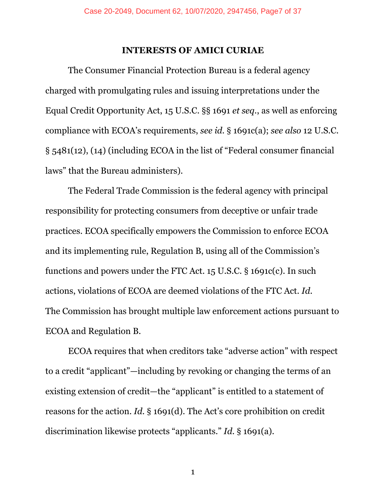#### **INTERESTS OF AMICI CURIAE**

The Consumer Financial Protection Bureau is a federal agency charged with promulgating rules and issuing interpretations under the Equal Credit Opportunity Act, 15 U.S.C. §§ 1691 *et seq.*, as well as enforcing compliance with ECOA's requirements, *see id.* § 1691c(a); *see also* 12 U.S.C. § 5481(12), (14) (including ECOA in the list of "Federal consumer financial laws" that the Bureau administers).

The Federal Trade Commission is the federal agency with principal responsibility for protecting consumers from deceptive or unfair trade practices. ECOA specifically empowers the Commission to enforce ECOA and its implementing rule, Regulation B, using all of the Commission's functions and powers under the FTC Act. 15 U.S.C. § 1691c(c). In such actions, violations of ECOA are deemed violations of the FTC Act. *Id.* The Commission has brought multiple law enforcement actions pursuant to ECOA and Regulation B.

ECOA requires that when creditors take "adverse action" with respect to a credit "applicant"—including by revoking or changing the terms of an existing extension of credit—the "applicant" is entitled to a statement of reasons for the action. *Id.* § 1691(d). The Act's core prohibition on credit discrimination likewise protects "applicants." *Id.* § 1691(a).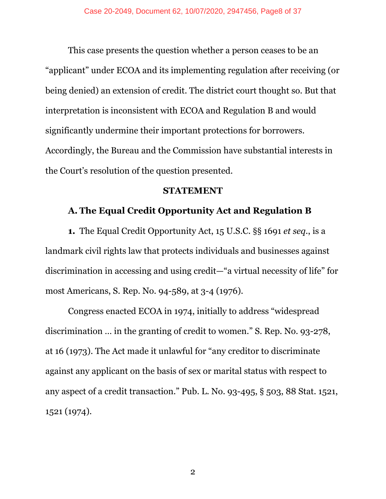This case presents the question whether a person ceases to be an "applicant" under ECOA and its implementing regulation after receiving (or being denied) an extension of credit. The district court thought so. But that interpretation is inconsistent with ECOA and Regulation B and would significantly undermine their important protections for borrowers. Accordingly, the Bureau and the Commission have substantial interests in the Court's resolution of the question presented.

#### **STATEMENT**

#### **A. The Equal Credit Opportunity Act and Regulation B**

**1.** The Equal Credit Opportunity Act, 15 U.S.C. §§ 1691 *et seq.*, is a landmark civil rights law that protects individuals and businesses against discrimination in accessing and using credit—"a virtual necessity of life" for most Americans, S. Rep. No. 94-589, at 3-4 (1976).

Congress enacted ECOA in 1974, initially to address "widespread discrimination … in the granting of credit to women." S. Rep. No. 93-278, at 16 (1973). The Act made it unlawful for "any creditor to discriminate against any applicant on the basis of sex or marital status with respect to any aspect of a credit transaction." Pub. L. No. 93-495, § 503, 88 Stat. 1521, 1521 (1974).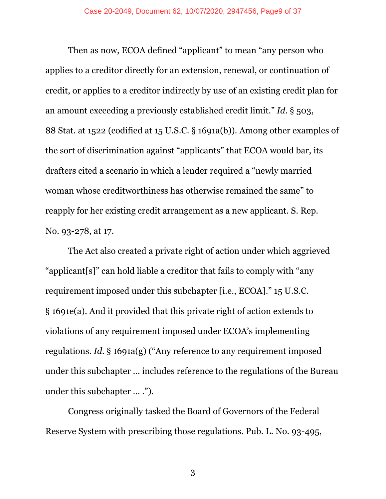Then as now, ECOA defined "applicant" to mean "any person who applies to a creditor directly for an extension, renewal, or continuation of credit, or applies to a creditor indirectly by use of an existing credit plan for an amount exceeding a previously established credit limit." *Id.* § 503, 88 Stat. at 1522 (codified at 15 U.S.C. § 1691a(b)). Among other examples of the sort of discrimination against "applicants" that ECOA would bar, its drafters cited a scenario in which a lender required a "newly married woman whose creditworthiness has otherwise remained the same" to reapply for her existing credit arrangement as a new applicant. S. Rep. No. 93-278, at 17.

The Act also created a private right of action under which aggrieved "applicant[s]" can hold liable a creditor that fails to comply with "any requirement imposed under this subchapter [i.e., ECOA]." 15 U.S.C. § 1691e(a). And it provided that this private right of action extends to violations of any requirement imposed under ECOA's implementing regulations. *Id.* § 1691a(g) ("Any reference to any requirement imposed under this subchapter … includes reference to the regulations of the Bureau under this subchapter … .").

Congress originally tasked the Board of Governors of the Federal Reserve System with prescribing those regulations. Pub. L. No. 93-495,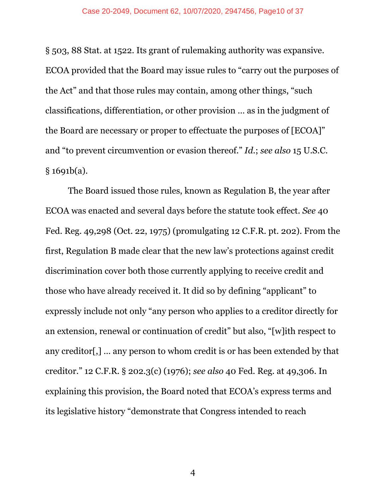§ 503, 88 Stat. at 1522. Its grant of rulemaking authority was expansive. ECOA provided that the Board may issue rules to "carry out the purposes of the Act" and that those rules may contain, among other things, "such classifications, differentiation, or other provision … as in the judgment of the Board are necessary or proper to effectuate the purposes of [ECOA]" and "to prevent circumvention or evasion thereof." *Id.*; *see also* 15 U.S.C. § 1691b(a).

The Board issued those rules, known as Regulation B, the year after ECOA was enacted and several days before the statute took effect. *See* 40 Fed. Reg. 49,298 (Oct. 22, 1975) (promulgating 12 C.F.R. pt. 202). From the first, Regulation B made clear that the new law's protections against credit discrimination cover both those currently applying to receive credit and those who have already received it. It did so by defining "applicant" to expressly include not only "any person who applies to a creditor directly for an extension, renewal or continuation of credit" but also, "[w]ith respect to any creditor[,] … any person to whom credit is or has been extended by that creditor." 12 C.F.R. § 202.3(c) (1976); *see also* 40 Fed. Reg. at 49,306. In explaining this provision, the Board noted that ECOA's express terms and its legislative history "demonstrate that Congress intended to reach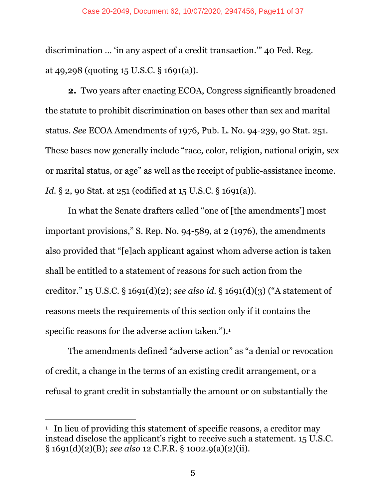#### Case 20-2049, Document 62, 10/07/2020, 2947456, Page11 of 37

discrimination … 'in any aspect of a credit transaction.'" 40 Fed. Reg. at 49,298 (quoting 15 U.S.C. § 1691(a)).

**2.** Two years after enacting ECOA, Congress significantly broadened the statute to prohibit discrimination on bases other than sex and marital status. *See* ECOA Amendments of 1976, Pub. L. No. 94-239, 90 Stat. 251. These bases now generally include "race, color, religion, national origin, sex or marital status, or age" as well as the receipt of public-assistance income. *Id.* § 2, 90 Stat. at 251 (codified at 15 U.S.C. § 1691(a)).

In what the Senate drafters called "one of [the amendments'] most important provisions," S. Rep. No. 94-589, at 2 (1976), the amendments also provided that "[e]ach applicant against whom adverse action is taken shall be entitled to a statement of reasons for such action from the creditor." 15 U.S.C. § 1691(d)(2); *see also id.* § 1691(d)(3) ("A statement of reasons meets the requirements of this section only if it contains the specific reasons for the adverse action taken.").1

The amendments defined "adverse action" as "a denial or revocation of credit, a change in the terms of an existing credit arrangement, or a refusal to grant credit in substantially the amount or on substantially the

<u>.</u>

<sup>&</sup>lt;sup>1</sup> In lieu of providing this statement of specific reasons, a creditor may instead disclose the applicant's right to receive such a statement. 15 U.S.C. § 1691(d)(2)(B); *see also* 12 C.F.R. § 1002.9(a)(2)(ii).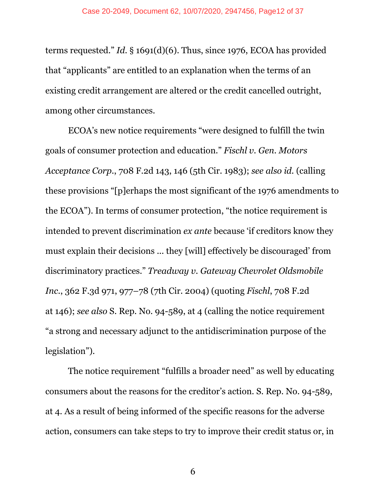terms requested." *Id.* § 1691(d)(6). Thus, since 1976, ECOA has provided that "applicants" are entitled to an explanation when the terms of an existing credit arrangement are altered or the credit cancelled outright, among other circumstances.

ECOA's new notice requirements "were designed to fulfill the twin goals of consumer protection and education." *Fischl v. Gen. Motors Acceptance Corp.*, 708 F.2d 143, 146 (5th Cir. 1983); *see also id.* (calling these provisions "[p]erhaps the most significant of the 1976 amendments to the ECOA"). In terms of consumer protection, "the notice requirement is intended to prevent discrimination *ex ante* because 'if creditors know they must explain their decisions ... they [will] effectively be discouraged' from discriminatory practices." *Treadway v. Gateway Chevrolet Oldsmobile Inc*., 362 F.3d 971, 977–78 (7th Cir. 2004) (quoting *Fischl*, 708 F.2d at 146); *see also* S. Rep. No. 94-589, at 4 (calling the notice requirement "a strong and necessary adjunct to the antidiscrimination purpose of the legislation").

The notice requirement "fulfills a broader need" as well by educating consumers about the reasons for the creditor's action. S. Rep. No. 94-589, at 4*.* As a result of being informed of the specific reasons for the adverse action, consumers can take steps to try to improve their credit status or, in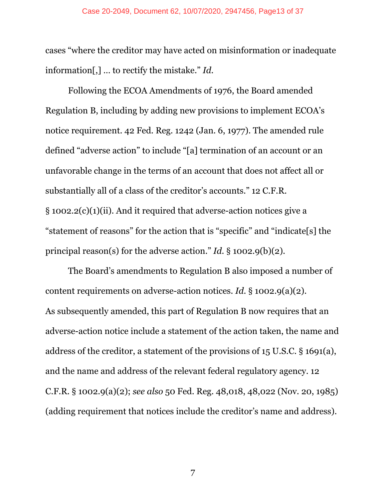cases "where the creditor may have acted on misinformation or inadequate information[,] … to rectify the mistake." *Id.*

Following the ECOA Amendments of 1976, the Board amended Regulation B, including by adding new provisions to implement ECOA's notice requirement. 42 Fed. Reg. 1242 (Jan. 6, 1977). The amended rule defined "adverse action" to include "[a] termination of an account or an unfavorable change in the terms of an account that does not affect all or substantially all of a class of the creditor's accounts." 12 C.F.R. § 1002.2(c)(1)(ii). And it required that adverse-action notices give a "statement of reasons" for the action that is "specific" and "indicate[s] the principal reason(s) for the adverse action." *Id.* § 1002.9(b)(2).

The Board's amendments to Regulation B also imposed a number of content requirements on adverse-action notices. *Id.* § 1002.9(a)(2). As subsequently amended, this part of Regulation B now requires that an adverse-action notice include a statement of the action taken, the name and address of the creditor, a statement of the provisions of 15 U.S.C. § 1691(a), and the name and address of the relevant federal regulatory agency. 12 C.F.R. § 1002.9(a)(2); *see also* 50 Fed. Reg. 48,018, 48,022 (Nov. 20, 1985) (adding requirement that notices include the creditor's name and address).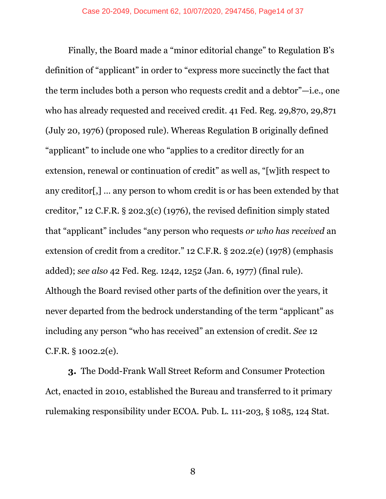Finally, the Board made a "minor editorial change" to Regulation B's definition of "applicant" in order to "express more succinctly the fact that the term includes both a person who requests credit and a debtor"—i.e., one who has already requested and received credit. 41 Fed. Reg. 29,870, 29,871 (July 20, 1976) (proposed rule). Whereas Regulation B originally defined "applicant" to include one who "applies to a creditor directly for an extension, renewal or continuation of credit" as well as, "[w]ith respect to any creditor[,] … any person to whom credit is or has been extended by that creditor," 12 C.F.R. § 202.3(c) (1976), the revised definition simply stated that "applicant" includes "any person who requests *or who has received* an extension of credit from a creditor." 12 C.F.R. § 202.2(e) (1978) (emphasis added); *see also* 42 Fed. Reg. 1242, 1252 (Jan. 6, 1977) (final rule). Although the Board revised other parts of the definition over the years, it never departed from the bedrock understanding of the term "applicant" as including any person "who has received" an extension of credit. *See* 12 C.F.R. § 1002.2(e).

**3.** The Dodd-Frank Wall Street Reform and Consumer Protection Act, enacted in 2010, established the Bureau and transferred to it primary rulemaking responsibility under ECOA. Pub. L. 111-203, § 1085, 124 Stat.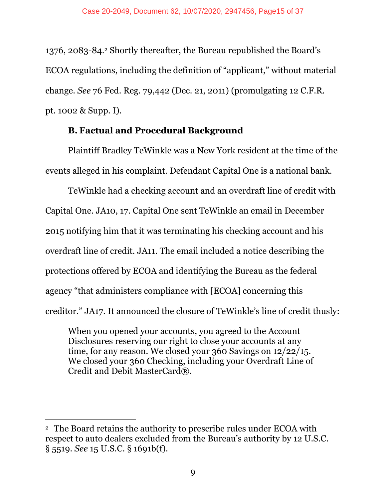1376, 2083-84.2 Shortly thereafter, the Bureau republished the Board's ECOA regulations, including the definition of "applicant," without material change. *See* 76 Fed. Reg. 79,442 (Dec. 21, 2011) (promulgating 12 C.F.R. pt. 1002 & Supp. I).

#### **B. Factual and Procedural Background**

Plaintiff Bradley TeWinkle was a New York resident at the time of the events alleged in his complaint. Defendant Capital One is a national bank.

TeWinkle had a checking account and an overdraft line of credit with Capital One. JA10, 17. Capital One sent TeWinkle an email in December 2015 notifying him that it was terminating his checking account and his overdraft line of credit. JA11. The email included a notice describing the protections offered by ECOA and identifying the Bureau as the federal agency "that administers compliance with [ECOA] concerning this creditor." JA17. It announced the closure of TeWinkle's line of credit thusly:

When you opened your accounts, you agreed to the Account Disclosures reserving our right to close your accounts at any time, for any reason. We closed your 360 Savings on 12/22/15. We closed your 360 Checking, including your Overdraft Line of Credit and Debit MasterCard®.

<u>.</u>

<sup>2</sup> The Board retains the authority to prescribe rules under ECOA with respect to auto dealers excluded from the Bureau's authority by 12 U.S.C. § 5519. *See* 15 U.S.C. § 1691b(f).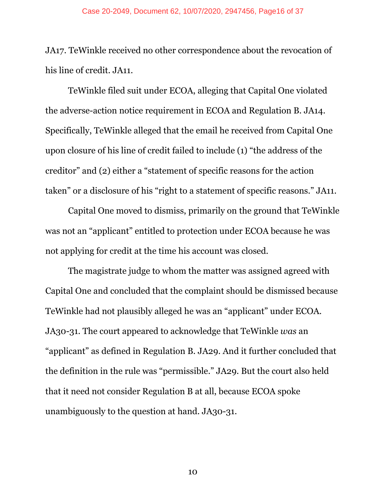#### Case 20-2049, Document 62, 10/07/2020, 2947456, Page16 of 37

JA17. TeWinkle received no other correspondence about the revocation of his line of credit. JA11.

 TeWinkle filed suit under ECOA, alleging that Capital One violated the adverse-action notice requirement in ECOA and Regulation B. JA14. Specifically, TeWinkle alleged that the email he received from Capital One upon closure of his line of credit failed to include (1) "the address of the creditor" and (2) either a "statement of specific reasons for the action taken" or a disclosure of his "right to a statement of specific reasons." JA11.

Capital One moved to dismiss, primarily on the ground that TeWinkle was not an "applicant" entitled to protection under ECOA because he was not applying for credit at the time his account was closed.

 The magistrate judge to whom the matter was assigned agreed with Capital One and concluded that the complaint should be dismissed because TeWinkle had not plausibly alleged he was an "applicant" under ECOA. JA30-31. The court appeared to acknowledge that TeWinkle *was* an "applicant" as defined in Regulation B. JA29. And it further concluded that the definition in the rule was "permissible." JA29*.* But the court also held that it need not consider Regulation B at all, because ECOA spoke unambiguously to the question at hand. JA30-31.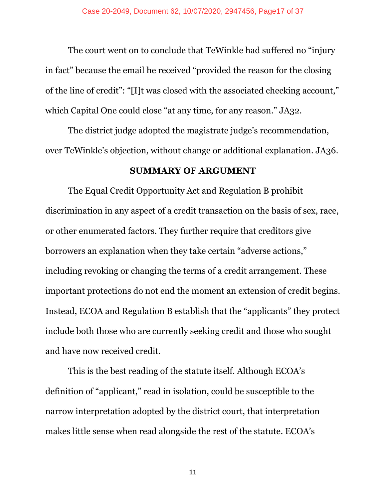The court went on to conclude that TeWinkle had suffered no "injury in fact" because the email he received "provided the reason for the closing of the line of credit": "[I]t was closed with the associated checking account," which Capital One could close "at any time, for any reason." JA32.

The district judge adopted the magistrate judge's recommendation, over TeWinkle's objection, without change or additional explanation. JA36.

#### **SUMMARY OF ARGUMENT**

The Equal Credit Opportunity Act and Regulation B prohibit discrimination in any aspect of a credit transaction on the basis of sex, race, or other enumerated factors. They further require that creditors give borrowers an explanation when they take certain "adverse actions," including revoking or changing the terms of a credit arrangement. These important protections do not end the moment an extension of credit begins. Instead, ECOA and Regulation B establish that the "applicants" they protect include both those who are currently seeking credit and those who sought and have now received credit.

This is the best reading of the statute itself. Although ECOA's definition of "applicant," read in isolation, could be susceptible to the narrow interpretation adopted by the district court, that interpretation makes little sense when read alongside the rest of the statute. ECOA's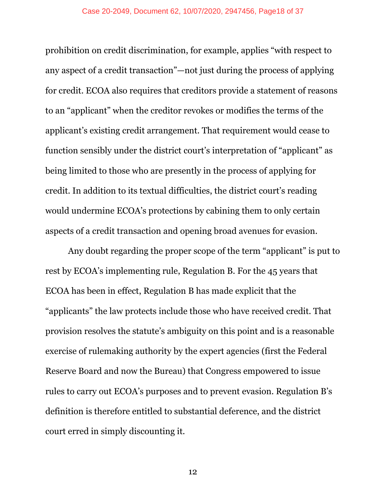prohibition on credit discrimination, for example, applies "with respect to any aspect of a credit transaction"—not just during the process of applying for credit. ECOA also requires that creditors provide a statement of reasons to an "applicant" when the creditor revokes or modifies the terms of the applicant's existing credit arrangement. That requirement would cease to function sensibly under the district court's interpretation of "applicant" as being limited to those who are presently in the process of applying for credit. In addition to its textual difficulties, the district court's reading would undermine ECOA's protections by cabining them to only certain aspects of a credit transaction and opening broad avenues for evasion.

Any doubt regarding the proper scope of the term "applicant" is put to rest by ECOA's implementing rule, Regulation B. For the 45 years that ECOA has been in effect, Regulation B has made explicit that the "applicants" the law protects include those who have received credit. That provision resolves the statute's ambiguity on this point and is a reasonable exercise of rulemaking authority by the expert agencies (first the Federal Reserve Board and now the Bureau) that Congress empowered to issue rules to carry out ECOA's purposes and to prevent evasion. Regulation B's definition is therefore entitled to substantial deference, and the district court erred in simply discounting it.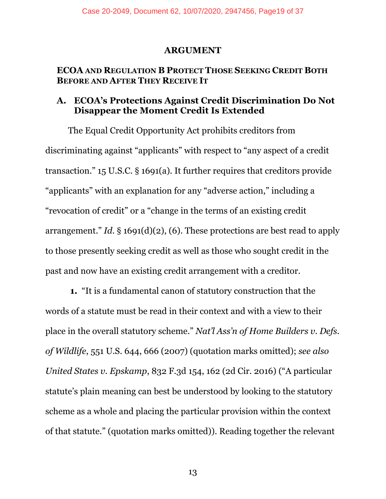#### **ARGUMENT**

#### **ECOA AND REGULATION B PROTECT THOSE SEEKING CREDIT BOTH BEFORE AND AFTER THEY RECEIVE IT**

#### **A. ECOA's Protections Against Credit Discrimination Do Not Disappear the Moment Credit Is Extended**

The Equal Credit Opportunity Act prohibits creditors from discriminating against "applicants" with respect to "any aspect of a credit transaction." 15 U.S.C. § 1691(a). It further requires that creditors provide "applicants" with an explanation for any "adverse action," including a "revocation of credit" or a "change in the terms of an existing credit arrangement." *Id.* § 1691(d)(2), (6). These protections are best read to apply to those presently seeking credit as well as those who sought credit in the past and now have an existing credit arrangement with a creditor.

**1.** "It is a fundamental canon of statutory construction that the words of a statute must be read in their context and with a view to their place in the overall statutory scheme." *Nat'l Ass'n of Home Builders v. Defs. of Wildlife*, 551 U.S. 644, 666 (2007) (quotation marks omitted); *see also United States v. Epskamp*, 832 F.3d 154, 162 (2d Cir. 2016) ("A particular statute's plain meaning can best be understood by looking to the statutory scheme as a whole and placing the particular provision within the context of that statute." (quotation marks omitted)). Reading together the relevant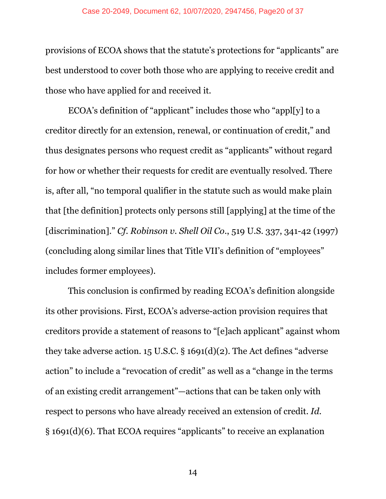provisions of ECOA shows that the statute's protections for "applicants" are best understood to cover both those who are applying to receive credit and those who have applied for and received it.

ECOA's definition of "applicant" includes those who "appl[y] to a creditor directly for an extension, renewal, or continuation of credit," and thus designates persons who request credit as "applicants" without regard for how or whether their requests for credit are eventually resolved. There is, after all, "no temporal qualifier in the statute such as would make plain that [the definition] protects only persons still [applying] at the time of the [discrimination]." *Cf. Robinson v. Shell Oil Co*., 519 U.S. 337, 341-42 (1997) (concluding along similar lines that Title VII's definition of "employees" includes former employees).

This conclusion is confirmed by reading ECOA's definition alongside its other provisions. First, ECOA's adverse-action provision requires that creditors provide a statement of reasons to "[e]ach applicant" against whom they take adverse action. 15 U.S.C. § 1691(d)(2). The Act defines "adverse action" to include a "revocation of credit" as well as a "change in the terms of an existing credit arrangement"—actions that can be taken only with respect to persons who have already received an extension of credit. *Id.*  § 1691(d)(6). That ECOA requires "applicants" to receive an explanation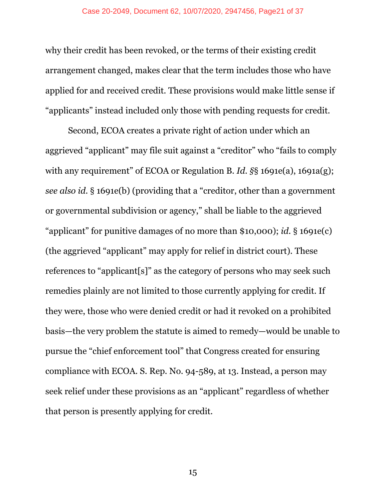why their credit has been revoked, or the terms of their existing credit arrangement changed, makes clear that the term includes those who have applied for and received credit. These provisions would make little sense if "applicants" instead included only those with pending requests for credit.

Second, ECOA creates a private right of action under which an aggrieved "applicant" may file suit against a "creditor" who "fails to comply with any requirement" of ECOA or Regulation B. *Id. §*§ 1691e(a), 1691a(g); *see also id.* § 1691e(b) (providing that a "creditor, other than a government or governmental subdivision or agency," shall be liable to the aggrieved "applicant" for punitive damages of no more than \$10,000); *id.* § 1691e(c) (the aggrieved "applicant" may apply for relief in district court). These references to "applicant[s]" as the category of persons who may seek such remedies plainly are not limited to those currently applying for credit. If they were, those who were denied credit or had it revoked on a prohibited basis—the very problem the statute is aimed to remedy—would be unable to pursue the "chief enforcement tool" that Congress created for ensuring compliance with ECOA. S. Rep. No. 94-589, at 13. Instead, a person may seek relief under these provisions as an "applicant" regardless of whether that person is presently applying for credit.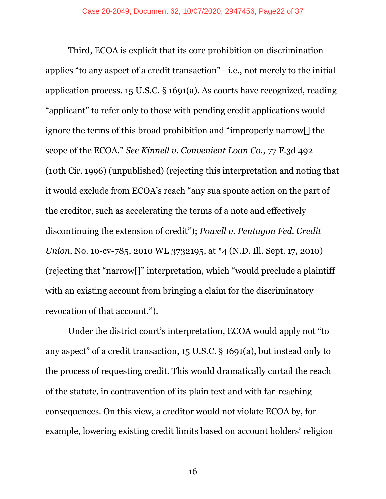Third, ECOA is explicit that its core prohibition on discrimination applies "to any aspect of a credit transaction"—i.e., not merely to the initial application process. 15 U.S.C. § 1691(a). As courts have recognized, reading "applicant" to refer only to those with pending credit applications would ignore the terms of this broad prohibition and "improperly narrow[] the scope of the ECOA." *See Kinnell v. Convenient Loan Co.*, 77 F.3d 492 (10th Cir. 1996) (unpublished) (rejecting this interpretation and noting that it would exclude from ECOA's reach "any sua sponte action on the part of the creditor, such as accelerating the terms of a note and effectively discontinuing the extension of credit"); *Powell v. Pentagon Fed. Credit Union*, No. 10-cv-785, 2010 WL 3732195, at \*4 (N.D. Ill. Sept. 17, 2010) (rejecting that "narrow[]" interpretation, which "would preclude a plaintiff with an existing account from bringing a claim for the discriminatory revocation of that account.").

Under the district court's interpretation, ECOA would apply not "to any aspect" of a credit transaction, 15 U.S.C. § 1691(a), but instead only to the process of requesting credit. This would dramatically curtail the reach of the statute, in contravention of its plain text and with far-reaching consequences. On this view, a creditor would not violate ECOA by, for example, lowering existing credit limits based on account holders' religion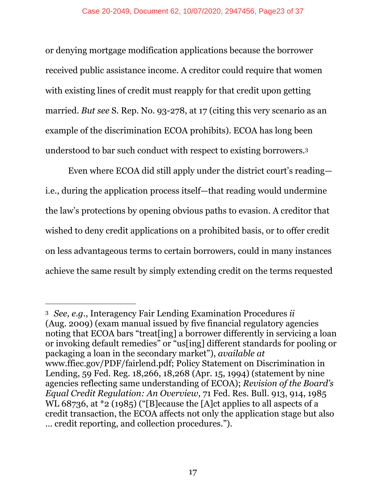or denying mortgage modification applications because the borrower received public assistance income. A creditor could require that women with existing lines of credit must reapply for that credit upon getting married. *But see* S. Rep. No. 93-278, at 17 (citing this very scenario as an example of the discrimination ECOA prohibits). ECOA has long been understood to bar such conduct with respect to existing borrowers.3

Even where ECOA did still apply under the district court's reading i.e., during the application process itself—that reading would undermine the law's protections by opening obvious paths to evasion. A creditor that wished to deny credit applications on a prohibited basis, or to offer credit on less advantageous terms to certain borrowers, could in many instances achieve the same result by simply extending credit on the terms requested

 $\overline{a}$ 

<sup>3</sup> *See, e.g.*, Interagency Fair Lending Examination Procedures *ii*  (Aug. 2009) (exam manual issued by five financial regulatory agencies noting that ECOA bars "treat[ing] a borrower differently in servicing a loan or invoking default remedies" or "us[ing] different standards for pooling or packaging a loan in the secondary market"), *available at*  www.ffiec.gov/PDF/fairlend.pdf; Policy Statement on Discrimination in Lending, 59 Fed. Reg. 18,266, 18,268 (Apr. 15, 1994) (statement by nine agencies reflecting same understanding of ECOA); *Revision of the Board's Equal Credit Regulation: An Overview*, 71 Fed. Res. Bull. 913, 914, 1985 WL 68736, at \*2 (1985) ("[B]ecause the [A]ct applies to all aspects of a credit transaction, the ECOA affects not only the application stage but also … credit reporting, and collection procedures.").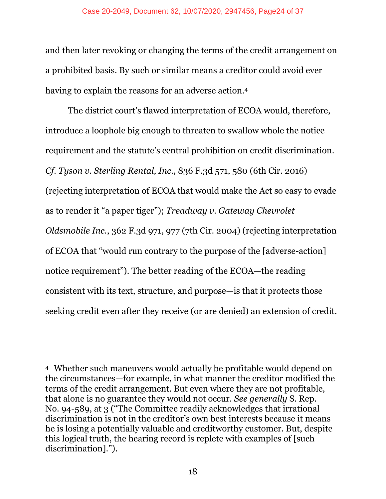and then later revoking or changing the terms of the credit arrangement on a prohibited basis. By such or similar means a creditor could avoid ever having to explain the reasons for an adverse action.<sup>4</sup>

The district court's flawed interpretation of ECOA would, therefore, introduce a loophole big enough to threaten to swallow whole the notice requirement and the statute's central prohibition on credit discrimination. *Cf. Tyson v. Sterling Rental, Inc.*, 836 F.3d 571, 580 (6th Cir. 2016) (rejecting interpretation of ECOA that would make the Act so easy to evade as to render it "a paper tiger"); *Treadway v. Gateway Chevrolet Oldsmobile Inc.*, 362 F.3d 971, 977 (7th Cir. 2004) (rejecting interpretation of ECOA that "would run contrary to the purpose of the [adverse-action] notice requirement"). The better reading of the ECOA—the reading consistent with its text, structure, and purpose—is that it protects those seeking credit even after they receive (or are denied) an extension of credit.

-

<sup>4</sup> Whether such maneuvers would actually be profitable would depend on the circumstances—for example, in what manner the creditor modified the terms of the credit arrangement. But even where they are not profitable, that alone is no guarantee they would not occur. *See generally* S. Rep. No. 94-589, at 3 ("The Committee readily acknowledges that irrational discrimination is not in the creditor's own best interests because it means he is losing a potentially valuable and creditworthy customer. But, despite this logical truth, the hearing record is replete with examples of [such discrimination].").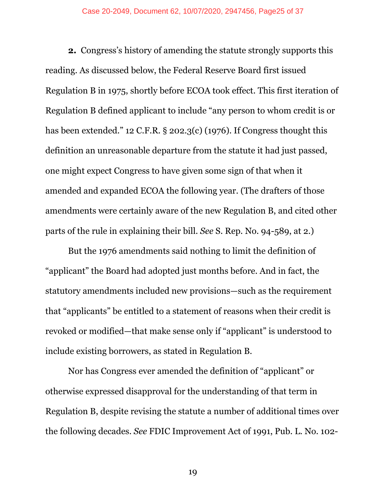**2.** Congress's history of amending the statute strongly supports this reading. As discussed below, the Federal Reserve Board first issued Regulation B in 1975, shortly before ECOA took effect. This first iteration of Regulation B defined applicant to include "any person to whom credit is or has been extended." 12 C.F.R. § 202.3(c) (1976). If Congress thought this definition an unreasonable departure from the statute it had just passed, one might expect Congress to have given some sign of that when it amended and expanded ECOA the following year. (The drafters of those amendments were certainly aware of the new Regulation B, and cited other parts of the rule in explaining their bill. *See* S. Rep. No. 94-589, at 2.)

But the 1976 amendments said nothing to limit the definition of "applicant" the Board had adopted just months before. And in fact, the statutory amendments included new provisions—such as the requirement that "applicants" be entitled to a statement of reasons when their credit is revoked or modified—that make sense only if "applicant" is understood to include existing borrowers, as stated in Regulation B.

Nor has Congress ever amended the definition of "applicant" or otherwise expressed disapproval for the understanding of that term in Regulation B, despite revising the statute a number of additional times over the following decades. *See* FDIC Improvement Act of 1991, Pub. L. No. 102-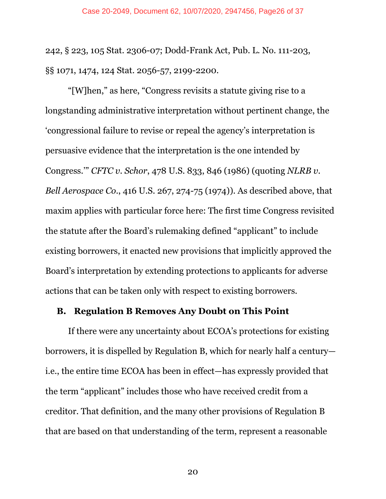242, § 223, 105 Stat. 2306-07; Dodd-Frank Act, Pub. L. No. 111-203, §§ 1071, 1474, 124 Stat. 2056-57, 2199-2200.

"[W]hen," as here, "Congress revisits a statute giving rise to a longstanding administrative interpretation without pertinent change, the 'congressional failure to revise or repeal the agency's interpretation is persuasive evidence that the interpretation is the one intended by Congress.'" *CFTC v. Schor*, 478 U.S. 833, 846 (1986) (quoting *NLRB v. Bell Aerospace Co*., 416 U.S. 267, 274-75 (1974)). As described above, that maxim applies with particular force here: The first time Congress revisited the statute after the Board's rulemaking defined "applicant" to include existing borrowers, it enacted new provisions that implicitly approved the Board's interpretation by extending protections to applicants for adverse actions that can be taken only with respect to existing borrowers.

#### **B. Regulation B Removes Any Doubt on This Point**

If there were any uncertainty about ECOA's protections for existing borrowers, it is dispelled by Regulation B, which for nearly half a century i.e., the entire time ECOA has been in effect—has expressly provided that the term "applicant" includes those who have received credit from a creditor. That definition, and the many other provisions of Regulation B that are based on that understanding of the term, represent a reasonable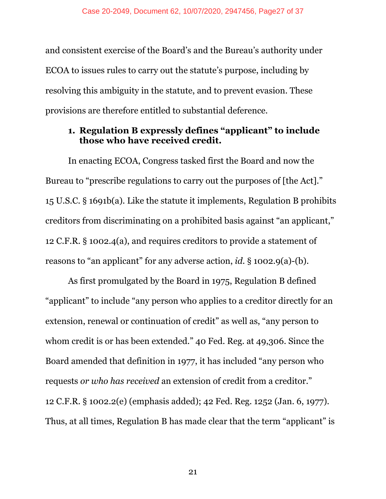and consistent exercise of the Board's and the Bureau's authority under ECOA to issues rules to carry out the statute's purpose, including by resolving this ambiguity in the statute, and to prevent evasion. These provisions are therefore entitled to substantial deference.

#### **1. Regulation B expressly defines "applicant" to include those who have received credit.**

In enacting ECOA, Congress tasked first the Board and now the Bureau to "prescribe regulations to carry out the purposes of [the Act]." 15 U.S.C. § 1691b(a). Like the statute it implements, Regulation B prohibits creditors from discriminating on a prohibited basis against "an applicant," 12 C.F.R. § 1002.4(a), and requires creditors to provide a statement of reasons to "an applicant" for any adverse action, *id.* § 1002.9(a)-(b).

As first promulgated by the Board in 1975, Regulation B defined "applicant" to include "any person who applies to a creditor directly for an extension, renewal or continuation of credit" as well as, "any person to whom credit is or has been extended." 40 Fed. Reg. at 49,306. Since the Board amended that definition in 1977, it has included "any person who requests *or who has received* an extension of credit from a creditor." 12 C.F.R. § 1002.2(e) (emphasis added); 42 Fed. Reg. 1252 (Jan. 6, 1977). Thus, at all times, Regulation B has made clear that the term "applicant" is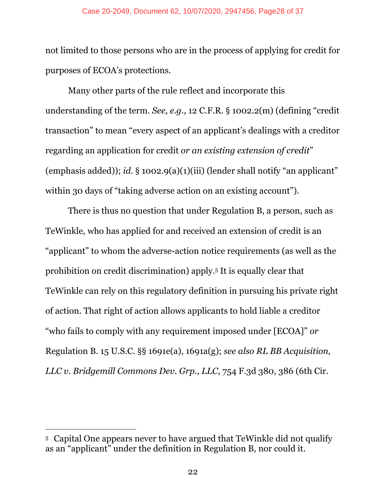#### Case 20-2049, Document 62, 10/07/2020, 2947456, Page28 of 37

not limited to those persons who are in the process of applying for credit for purposes of ECOA's protections.

Many other parts of the rule reflect and incorporate this understanding of the term. *See, e.g.*, 12 C.F.R. § 1002.2(m) (defining "credit transaction" to mean "every aspect of an applicant's dealings with a creditor regarding an application for credit *or an existing extension of credit*" (emphasis added)); *id.* § 1002.9(a)(1)(iii) (lender shall notify "an applicant" within 30 days of "taking adverse action on an existing account").

There is thus no question that under Regulation B, a person, such as TeWinkle, who has applied for and received an extension of credit is an "applicant" to whom the adverse-action notice requirements (as well as the prohibition on credit discrimination) apply.5 It is equally clear that TeWinkle can rely on this regulatory definition in pursuing his private right of action. That right of action allows applicants to hold liable a creditor "who fails to comply with any requirement imposed under [ECOA]" *or*  Regulation B. 15 U.S.C. §§ 1691e(a), 1691a(g); *see also RL BB Acquisition, LLC v. Bridgemill Commons Dev. Grp., LLC*, 754 F.3d 380, 386 (6th Cir.

-

<sup>5</sup> Capital One appears never to have argued that TeWinkle did not qualify as an "applicant" under the definition in Regulation B, nor could it.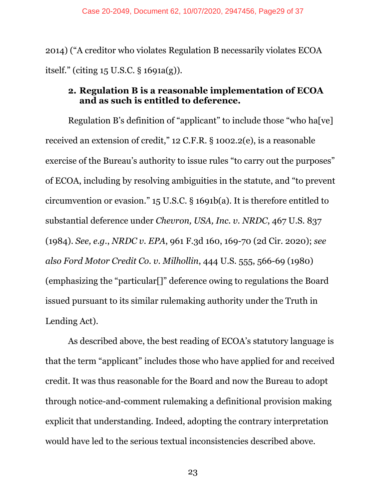2014) ("A creditor who violates Regulation B necessarily violates ECOA itself." (citing 15 U.S.C. § 1691a(g)).

#### **2. Regulation B is a reasonable implementation of ECOA and as such is entitled to deference.**

Regulation B's definition of "applicant" to include those "who ha[ve] received an extension of credit," 12 C.F.R. § 1002.2(e), is a reasonable exercise of the Bureau's authority to issue rules "to carry out the purposes" of ECOA, including by resolving ambiguities in the statute, and "to prevent circumvention or evasion." 15 U.S.C. § 1691b(a). It is therefore entitled to substantial deference under *Chevron, USA, Inc. v. NRDC*, 467 U.S. 837 (1984). *See, e.g.*, *NRDC v. EPA*, 961 F.3d 160, 169-70 (2d Cir. 2020); *see also Ford Motor Credit Co. v. Milhollin*, 444 U.S. 555, 566-69 (1980) (emphasizing the "particular[]" deference owing to regulations the Board issued pursuant to its similar rulemaking authority under the Truth in Lending Act).

As described above, the best reading of ECOA's statutory language is that the term "applicant" includes those who have applied for and received credit. It was thus reasonable for the Board and now the Bureau to adopt through notice-and-comment rulemaking a definitional provision making explicit that understanding. Indeed, adopting the contrary interpretation would have led to the serious textual inconsistencies described above.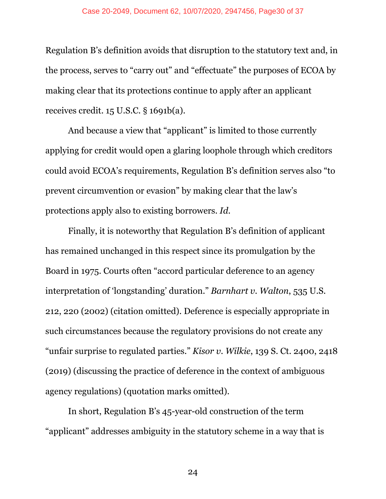#### Case 20-2049, Document 62, 10/07/2020, 2947456, Page30 of 37

Regulation B's definition avoids that disruption to the statutory text and, in the process, serves to "carry out" and "effectuate" the purposes of ECOA by making clear that its protections continue to apply after an applicant receives credit. 15 U.S.C. § 1691b(a).

And because a view that "applicant" is limited to those currently applying for credit would open a glaring loophole through which creditors could avoid ECOA's requirements, Regulation B's definition serves also "to prevent circumvention or evasion" by making clear that the law's protections apply also to existing borrowers. *Id.*

Finally, it is noteworthy that Regulation B's definition of applicant has remained unchanged in this respect since its promulgation by the Board in 1975. Courts often "accord particular deference to an agency interpretation of 'longstanding' duration." *Barnhart v. Walton*, 535 U.S. 212, 220 (2002) (citation omitted). Deference is especially appropriate in such circumstances because the regulatory provisions do not create any "unfair surprise to regulated parties." *Kisor v. Wilkie*, 139 S. Ct. 2400, 2418 (2019) (discussing the practice of deference in the context of ambiguous agency regulations) (quotation marks omitted).

In short, Regulation B's 45-year-old construction of the term "applicant" addresses ambiguity in the statutory scheme in a way that is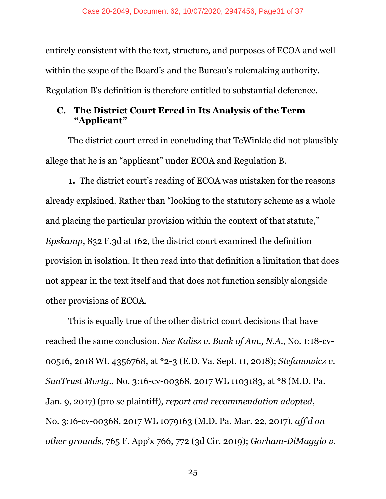entirely consistent with the text, structure, and purposes of ECOA and well within the scope of the Board's and the Bureau's rulemaking authority. Regulation B's definition is therefore entitled to substantial deference.

#### **C. The District Court Erred in Its Analysis of the Term "Applicant"**

The district court erred in concluding that TeWinkle did not plausibly allege that he is an "applicant" under ECOA and Regulation B.

**1.** The district court's reading of ECOA was mistaken for the reasons already explained. Rather than "looking to the statutory scheme as a whole and placing the particular provision within the context of that statute," *Epskamp*, 832 F.3d at 162, the district court examined the definition provision in isolation. It then read into that definition a limitation that does not appear in the text itself and that does not function sensibly alongside other provisions of ECOA.

This is equally true of the other district court decisions that have reached the same conclusion. *See Kalisz v. Bank of Am., N.A.*, No. 1:18-cv-00516, 2018 WL 4356768, at \*2-3 (E.D. Va. Sept. 11, 2018); *Stefanowicz v. SunTrust Mortg.*, No. 3:16-cv-00368, 2017 WL 1103183, at \*8 (M.D. Pa. Jan. 9, 2017) (pro se plaintiff), *report and recommendation adopted*, No. 3:16-cv-00368, 2017 WL 1079163 (M.D. Pa. Mar. 22, 2017), *aff'd on other grounds*, 765 F. App'x 766, 772 (3d Cir. 2019); *Gorham-DiMaggio v.*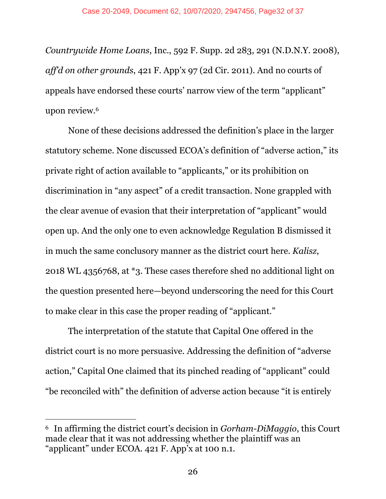*Countrywide Home Loans*, Inc., 592 F. Supp. 2d 283, 291 (N.D.N.Y. 2008), *aff'd on other grounds*, 421 F. App'x 97 (2d Cir. 2011). And no courts of appeals have endorsed these courts' narrow view of the term "applicant" upon review.6

None of these decisions addressed the definition's place in the larger statutory scheme. None discussed ECOA's definition of "adverse action," its private right of action available to "applicants," or its prohibition on discrimination in "any aspect" of a credit transaction. None grappled with the clear avenue of evasion that their interpretation of "applicant" would open up. And the only one to even acknowledge Regulation B dismissed it in much the same conclusory manner as the district court here. *Kalisz*, 2018 WL 4356768, at \*3. These cases therefore shed no additional light on the question presented here—beyond underscoring the need for this Court to make clear in this case the proper reading of "applicant."

The interpretation of the statute that Capital One offered in the district court is no more persuasive. Addressing the definition of "adverse action," Capital One claimed that its pinched reading of "applicant" could "be reconciled with" the definition of adverse action because "it is entirely

 $\overline{a}$ 

<sup>6</sup> In affirming the district court's decision in *Gorham-DiMaggio*, this Court made clear that it was not addressing whether the plaintiff was an "applicant" under ECOA. 421 F. App'x at 100 n.1.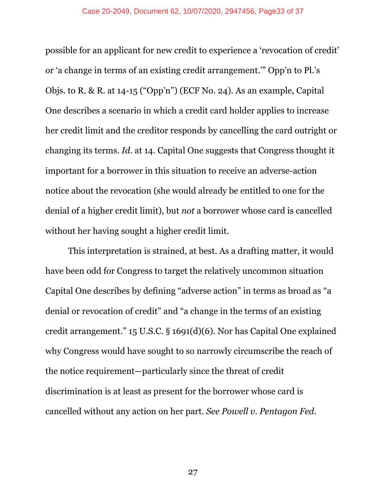possible for an applicant for new credit to experience a 'revocation of credit' or 'a change in terms of an existing credit arrangement.'" Opp'n to Pl.'s Objs. to R. & R. at 14-15 ("Opp'n") (ECF No. 24). As an example, Capital One describes a scenario in which a credit card holder applies to increase her credit limit and the creditor responds by cancelling the card outright or changing its terms. *Id.* at 14. Capital One suggests that Congress thought it important for a borrower in this situation to receive an adverse-action notice about the revocation (she would already be entitled to one for the denial of a higher credit limit), but *not* a borrower whose card is cancelled without her having sought a higher credit limit.

This interpretation is strained, at best. As a drafting matter, it would have been odd for Congress to target the relatively uncommon situation Capital One describes by defining "adverse action" in terms as broad as "a denial or revocation of credit" and "a change in the terms of an existing credit arrangement." 15 U.S.C. § 1691(d)(6). Nor has Capital One explained why Congress would have sought to so narrowly circumscribe the reach of the notice requirement—particularly since the threat of credit discrimination is at least as present for the borrower whose card is cancelled without any action on her part. *See Powell v. Pentagon Fed.*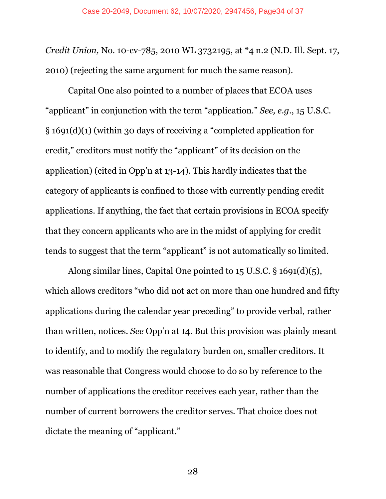*Credit Union,* No. 10-cv-785, 2010 WL 3732195, at \*4 n.2 (N.D. Ill. Sept. 17, 2010) (rejecting the same argument for much the same reason).

Capital One also pointed to a number of places that ECOA uses "applicant" in conjunction with the term "application." *See, e.g*., 15 U.S.C. § 1691(d)(1) (within 30 days of receiving a "completed application for credit," creditors must notify the "applicant" of its decision on the application) (cited in Opp'n at 13-14). This hardly indicates that the category of applicants is confined to those with currently pending credit applications. If anything, the fact that certain provisions in ECOA specify that they concern applicants who are in the midst of applying for credit tends to suggest that the term "applicant" is not automatically so limited.

Along similar lines, Capital One pointed to 15 U.S.C. § 1691(d)(5), which allows creditors "who did not act on more than one hundred and fifty applications during the calendar year preceding" to provide verbal, rather than written, notices. *See* Opp'n at 14. But this provision was plainly meant to identify, and to modify the regulatory burden on, smaller creditors. It was reasonable that Congress would choose to do so by reference to the number of applications the creditor receives each year, rather than the number of current borrowers the creditor serves. That choice does not dictate the meaning of "applicant."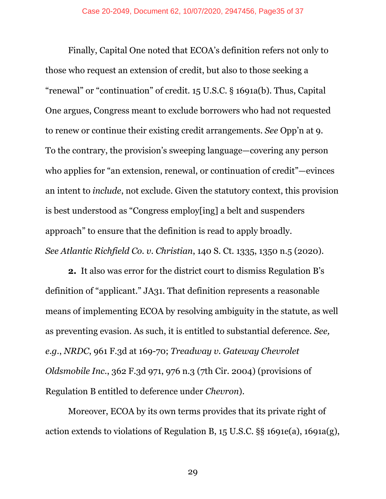Finally, Capital One noted that ECOA's definition refers not only to those who request an extension of credit, but also to those seeking a "renewal" or "continuation" of credit. 15 U.S.C. § 1691a(b). Thus, Capital One argues, Congress meant to exclude borrowers who had not requested to renew or continue their existing credit arrangements. *See* Opp'n at 9. To the contrary, the provision's sweeping language—covering any person who applies for "an extension, renewal, or continuation of credit"—evinces an intent to *include*, not exclude. Given the statutory context, this provision is best understood as "Congress employ[ing] a belt and suspenders approach" to ensure that the definition is read to apply broadly. *See Atlantic Richfield Co. v. Christian*, 140 S. Ct. 1335, 1350 n.5 (2020).

**2.** It also was error for the district court to dismiss Regulation B's definition of "applicant." JA31. That definition represents a reasonable means of implementing ECOA by resolving ambiguity in the statute, as well as preventing evasion. As such, it is entitled to substantial deference. *See, e.g.*, *NRDC*, 961 F.3d at 169-70; *Treadway v. Gateway Chevrolet Oldsmobile Inc*., 362 F.3d 971, 976 n.3 (7th Cir. 2004) (provisions of Regulation B entitled to deference under *Chevron*).

Moreover, ECOA by its own terms provides that its private right of action extends to violations of Regulation B, 15 U.S.C. §§ 1691e(a), 1691a(g),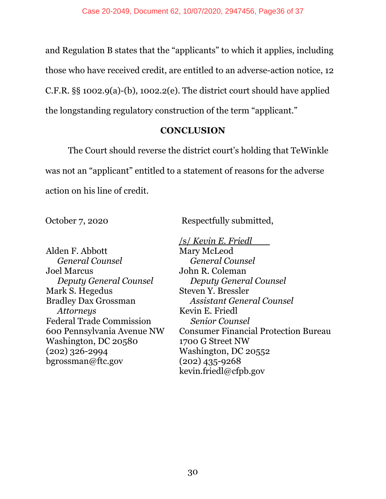and Regulation B states that the "applicants" to which it applies, including those who have received credit, are entitled to an adverse-action notice, 12 C.F.R.  $\S$ § 1002.9(a)-(b), 1002.2(e). The district court should have applied the longstanding regulatory construction of the term "applicant."

#### **CONCLUSION**

The Court should reverse the district court's holding that TeWinkle was not an "applicant" entitled to a statement of reasons for the adverse action on his line of credit.

October 7, 2020 Respectfully submitted,

Alden F. Abbott *General Counsel* Joel Marcus *Deputy General Counsel* Mark S. Hegedus Bradley Dax Grossman *Attorneys* Federal Trade Commission 600 Pennsylvania Avenue NW Washington, DC 20580 (202) 326-2994 bgrossman@ftc.gov

/s/ *Kevin E. Friedl* Mary McLeod *General Counsel*  John R. Coleman *Deputy General Counsel*  Steven Y. Bressler *Assistant General Counsel*  Kevin E. Friedl *Senior Counsel*  Consumer Financial Protection Bureau 1700 G Street NW Washington, DC 20552 (202) 435-9268 kevin.friedl@cfpb.gov